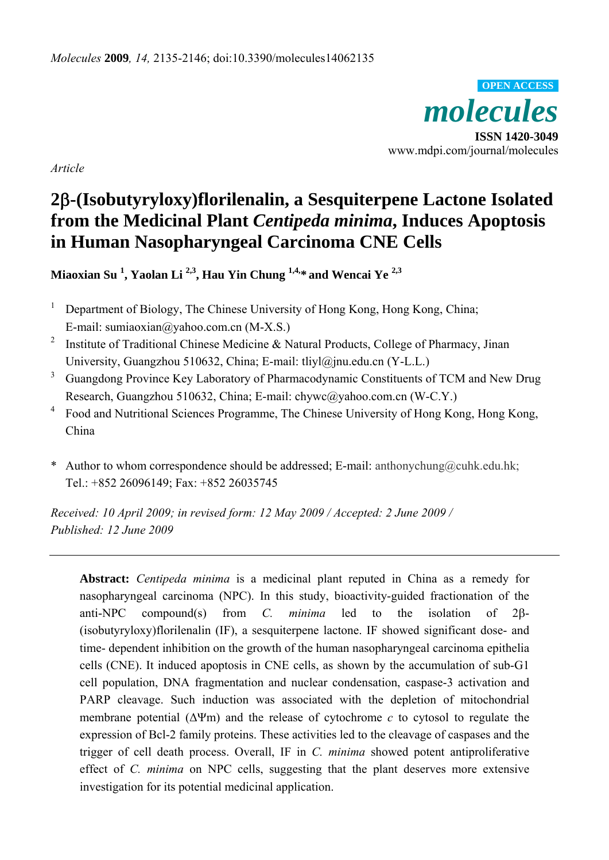*molecules*  **ISSN 1420-3049**  www.mdpi.com/journal/molecules **OPEN ACCESS**

*Article* 

# **2**β**-(Isobutyryloxy)florilenalin, a Sesquiterpene Lactone Isolated from the Medicinal Plant** *Centipeda minima***, Induces Apoptosis in Human Nasopharyngeal Carcinoma CNE Cells**

**Miaoxian Su <sup>1</sup> , Yaolan Li 2,3, Hau Yin Chung 1,4,\* and Wencai Ye 2,3**

- 1 Department of Biology, The Chinese University of Hong Kong, Hong Kong, China; E-mail: sumiaoxian@yahoo.com.cn (M-X.S.)
- 2 Institute of Traditional Chinese Medicine & Natural Products, College of Pharmacy, Jinan University, Guangzhou 510632, China; E-mail: tliyl@jnu.edu.cn (Y-L.L.)
- 3 Guangdong Province Key Laboratory of Pharmacodynamic Constituents of TCM and New Drug Research, Guangzhou 510632, China; E-mail: chywc@yahoo.com.cn (W-C.Y.)
- 4 Food and Nutritional Sciences Programme, The Chinese University of Hong Kong, Hong Kong, China
- \* Author to whom correspondence should be addressed; E-mail: anthonychung@cuhk.edu.hk; Tel.: +852 26096149; Fax: +852 26035745

*Received: 10 April 2009; in revised form: 12 May 2009 / Accepted: 2 June 2009 / Published: 12 June 2009* 

**Abstract:** *Centipeda minima* is a medicinal plant reputed in China as a remedy for nasopharyngeal carcinoma (NPC). In this study, bioactivity-guided fractionation of the anti-NPC compound(s) from *C. minima* led to the isolation of 2β- (isobutyryloxy)florilenalin (IF), a sesquiterpene lactone. IF showed significant dose- and time- dependent inhibition on the growth of the human nasopharyngeal carcinoma epithelia cells (CNE). It induced apoptosis in CNE cells, as shown by the accumulation of sub-G1 cell population, DNA fragmentation and nuclear condensation, caspase-3 activation and PARP cleavage. Such induction was associated with the depletion of mitochondrial membrane potential (ΔΨm) and the release of cytochrome *c* to cytosol to regulate the expression of Bcl-2 family proteins. These activities led to the cleavage of caspases and the trigger of cell death process. Overall, IF in *C. minima* showed potent antiproliferative effect of *C. minima* on NPC cells, suggesting that the plant deserves more extensive investigation for its potential medicinal application.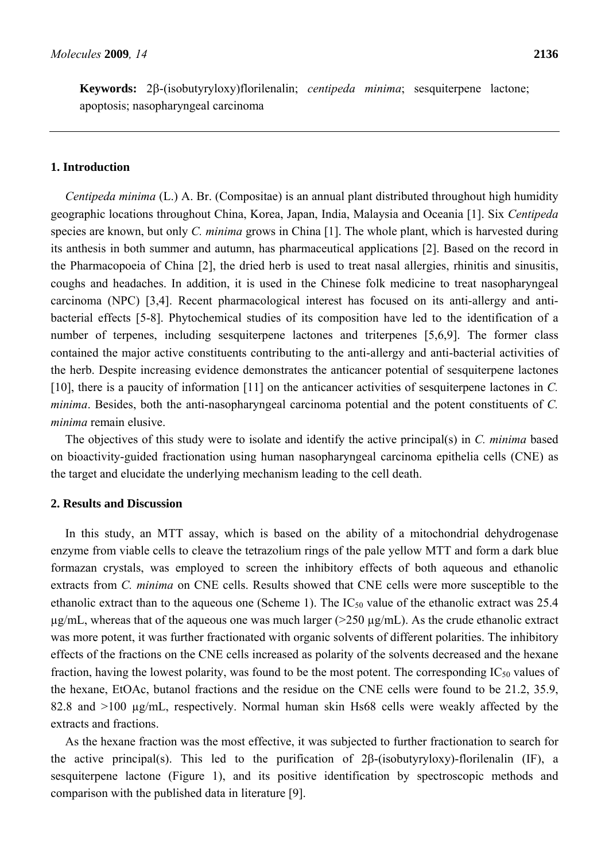#### **1. Introduction**

*Centipeda minima* (L.) A. Br. (Compositae) is an annual plant distributed throughout high humidity geographic locations throughout China, Korea, Japan, India, Malaysia and Oceania [1]. Six *Centipeda* species are known, but only *C. minima* grows in China [1]. The whole plant, which is harvested during its anthesis in both summer and autumn, has pharmaceutical applications [2]. Based on the record in the Pharmacopoeia of China [2], the dried herb is used to treat nasal allergies, rhinitis and sinusitis, coughs and headaches. In addition, it is used in the Chinese folk medicine to treat nasopharyngeal carcinoma (NPC) [3,4]. Recent pharmacological interest has focused on its anti-allergy and antibacterial effects [5-8]. Phytochemical studies of its composition have led to the identification of a number of terpenes, including sesquiterpene lactones and triterpenes [5,6,9]. The former class contained the major active constituents contributing to the anti-allergy and anti-bacterial activities of the herb. Despite increasing evidence demonstrates the anticancer potential of sesquiterpene lactones [10], there is a paucity of information [11] on the anticancer activities of sesquiterpene lactones in *C. minima*. Besides, both the anti-nasopharyngeal carcinoma potential and the potent constituents of *C. minima* remain elusive.

The objectives of this study were to isolate and identify the active principal(s) in *C. minima* based on bioactivity-guided fractionation using human nasopharyngeal carcinoma epithelia cells (CNE) as the target and elucidate the underlying mechanism leading to the cell death.

## **2. Results and Discussion**

In this study, an MTT assay, which is based on the ability of a mitochondrial dehydrogenase enzyme from viable cells to cleave the tetrazolium rings of the pale yellow MTT and form a dark blue formazan crystals, was employed to screen the inhibitory effects of both aqueous and ethanolic extracts from *C. minima* on CNE cells. Results showed that CNE cells were more susceptible to the ethanolic extract than to the aqueous one (Scheme 1). The  $IC_{50}$  value of the ethanolic extract was 25.4  $\mu$ g/mL, whereas that of the aqueous one was much larger ( $>$ 250  $\mu$ g/mL). As the crude ethanolic extract was more potent, it was further fractionated with organic solvents of different polarities. The inhibitory effects of the fractions on the CNE cells increased as polarity of the solvents decreased and the hexane fraction, having the lowest polarity, was found to be the most potent. The corresponding  $IC_{50}$  values of the hexane, EtOAc, butanol fractions and the residue on the CNE cells were found to be 21.2, 35.9, 82.8 and >100 µg/mL, respectively. Normal human skin Hs68 cells were weakly affected by the extracts and fractions.

As the hexane fraction was the most effective, it was subjected to further fractionation to search for the active principal(s). This led to the purification of 2β-(isobutyryloxy)-florilenalin (IF), a sesquiterpene lactone (Figure 1), and its positive identification by spectroscopic methods and comparison with the published data in literature [9].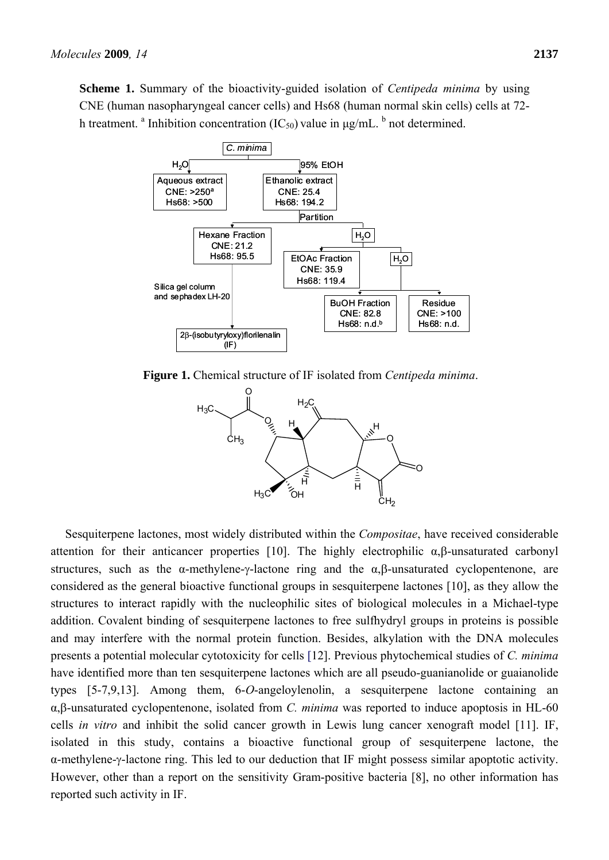**Scheme 1.** Summary of the bioactivity-guided isolation of *Centipeda minima* by using CNE (human nasopharyngeal cancer cells) and Hs68 (human normal skin cells) cells at 72 h treatment. <sup>a</sup> Inhibition concentration (IC<sub>50</sub>) value in  $\mu$ g/mL. <sup>b</sup> not determined.



**Figure 1.** Chemical structure of IF isolated from *Centipeda minima*.



Sesquiterpene lactones, most widely distributed within the *Compositae*, have received considerable attention for their anticancer properties [10]. The highly electrophilic  $\alpha, \beta$ -unsaturated carbonyl structures, such as the  $\alpha$ -methylene-γ-lactone ring and the  $\alpha$ ,  $\beta$ -unsaturated cyclopentenone, are considered as the general bioactive functional groups in sesquiterpene lactones [10], as they allow the structures to interact rapidly with the nucleophilic sites of biological molecules in a Michael-type addition. Covalent binding of sesquiterpene lactones to free sulfhydryl groups in proteins is possible and may interfere with the normal protein function. Besides, alkylation with the DNA molecules presents a potential molecular cytotoxicity for cells [12]. Previous phytochemical studies of *C. minima* have identified more than ten sesquiterpene lactones which are all pseudo-guanianolide or guaianolide types [5-7,9,13]. Among them, 6-*O*-angeloylenolin, a sesquiterpene lactone containing an α,β-unsaturated cyclopentenone, isolated from *C. minima* was reported to induce apoptosis in HL-60 cells *in vitro* and inhibit the solid cancer growth in Lewis lung cancer xenograft model [11]. IF, isolated in this study, contains a bioactive functional group of sesquiterpene lactone, the α-methylene-γ-lactone ring. This led to our deduction that IF might possess similar apoptotic activity. However, other than a report on the sensitivity Gram-positive bacteria [8], no other information has reported such activity in IF.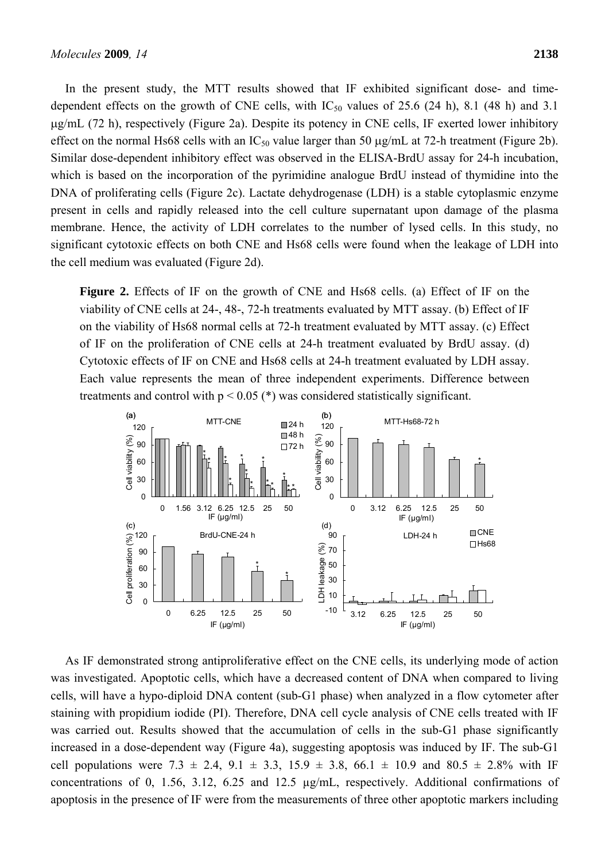In the present study, the MTT results showed that IF exhibited significant dose- and timedependent effects on the growth of CNE cells, with  $IC_{50}$  values of 25.6 (24 h), 8.1 (48 h) and 3.1 μg/mL (72 h), respectively (Figure 2a). Despite its potency in CNE cells, IF exerted lower inhibitory effect on the normal Hs68 cells with an  $IC_{50}$  value larger than 50  $\mu$ g/mL at 72-h treatment (Figure 2b). Similar dose-dependent inhibitory effect was observed in the ELISA-BrdU assay for 24-h incubation, which is based on the incorporation of the pyrimidine analogue BrdU instead of thymidine into the DNA of proliferating cells (Figure 2c). Lactate dehydrogenase (LDH) is a stable cytoplasmic enzyme present in cells and rapidly released into the cell culture supernatant upon damage of the plasma membrane. Hence, the activity of LDH correlates to the number of lysed cells. In this study, no significant cytotoxic effects on both CNE and Hs68 cells were found when the leakage of LDH into the cell medium was evaluated (Figure 2d).

**Figure 2.** Effects of IF on the growth of CNE and Hs68 cells. (a) Effect of IF on the viability of CNE cells at 24-, 48-, 72-h treatments evaluated by MTT assay. (b) Effect of IF on the viability of Hs68 normal cells at 72-h treatment evaluated by MTT assay. (c) Effect of IF on the proliferation of CNE cells at 24-h treatment evaluated by BrdU assay. (d) Cytotoxic effects of IF on CNE and Hs68 cells at 24-h treatment evaluated by LDH assay. Each value represents the mean of three independent experiments. Difference between treatments and control with  $p < 0.05$  (\*) was considered statistically significant.



As IF demonstrated strong antiproliferative effect on the CNE cells, its underlying mode of action was investigated. Apoptotic cells, which have a decreased content of DNA when compared to living cells, will have a hypo-diploid DNA content (sub-G1 phase) when analyzed in a flow cytometer after staining with propidium iodide (PI). Therefore, DNA cell cycle analysis of CNE cells treated with IF was carried out. Results showed that the accumulation of cells in the sub-G1 phase significantly increased in a dose-dependent way (Figure 4a), suggesting apoptosis was induced by IF. The sub-G1 cell populations were 7.3  $\pm$  2.4, 9.1  $\pm$  3.3, 15.9  $\pm$  3.8, 66.1  $\pm$  10.9 and 80.5  $\pm$  2.8% with IF concentrations of 0, 1.56, 3.12, 6.25 and 12.5 µg/mL, respectively. Additional confirmations of apoptosis in the presence of IF were from the measurements of three other apoptotic markers including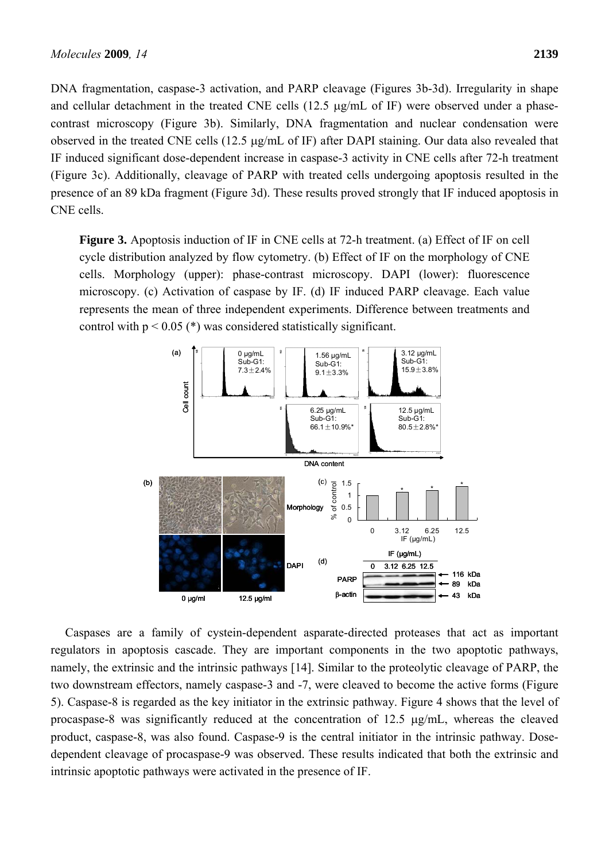DNA fragmentation, caspase-3 activation, and PARP cleavage (Figures 3b-3d). Irregularity in shape and cellular detachment in the treated CNE cells (12.5 μg/mL of IF) were observed under a phasecontrast microscopy (Figure 3b). Similarly, DNA fragmentation and nuclear condensation were observed in the treated CNE cells (12.5 μg/mL of IF) after DAPI staining. Our data also revealed that IF induced significant dose-dependent increase in caspase-3 activity in CNE cells after 72-h treatment (Figure 3c). Additionally, cleavage of PARP with treated cells undergoing apoptosis resulted in the presence of an 89 kDa fragment (Figure 3d). These results proved strongly that IF induced apoptosis in CNE cells.

**Figure 3.** Apoptosis induction of IF in CNE cells at 72-h treatment. (a) Effect of IF on cell cycle distribution analyzed by flow cytometry. (b) Effect of IF on the morphology of CNE cells. Morphology (upper): phase-contrast microscopy. DAPI (lower): fluorescence microscopy. (c) Activation of caspase by IF. (d) IF induced PARP cleavage. Each value represents the mean of three independent experiments. Difference between treatments and control with  $p < 0.05$  (\*) was considered statistically significant.



Caspases are a family of cystein-dependent asparate-directed proteases that act as important regulators in apoptosis cascade. They are important components in the two apoptotic pathways, namely, the extrinsic and the intrinsic pathways [14]. Similar to the proteolytic cleavage of PARP, the two downstream effectors, namely caspase-3 and -7, were cleaved to become the active forms (Figure 5). Caspase-8 is regarded as the key initiator in the extrinsic pathway. Figure 4 shows that the level of procaspase-8 was significantly reduced at the concentration of 12.5 μg/mL, whereas the cleaved product, caspase-8, was also found. Caspase-9 is the central initiator in the intrinsic pathway. Dosedependent cleavage of procaspase-9 was observed. These results indicated that both the extrinsic and intrinsic apoptotic pathways were activated in the presence of IF.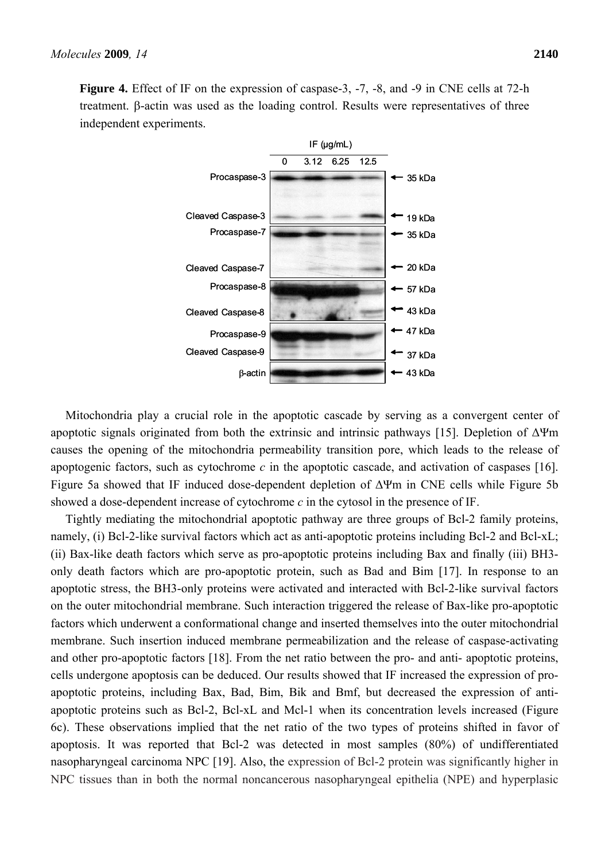

treatment. β-actin was used as the loading control. Results were representatives of three

Mitochondria play a crucial role in the apoptotic cascade by serving as a convergent center of apoptotic signals originated from both the extrinsic and intrinsic pathways [15]. Depletion of  $Δ\Psi$ m causes the opening of the mitochondria permeability transition pore, which leads to the release of apoptogenic factors, such as cytochrome *c* in the apoptotic cascade, and activation of caspases [16]. Figure 5a showed that IF induced dose-dependent depletion of ΔΨm in CNE cells while Figure 5b showed a dose-dependent increase of cytochrome *c* in the cytosol in the presence of IF.

Tightly mediating the mitochondrial apoptotic pathway are three groups of Bcl-2 family proteins, namely, (i) Bcl-2-like survival factors which act as anti-apoptotic proteins including Bcl-2 and Bcl-xL; (ii) Bax-like death factors which serve as pro-apoptotic proteins including Bax and finally (iii) BH3 only death factors which are pro-apoptotic protein, such as Bad and Bim [17]. In response to an apoptotic stress, the BH3-only proteins were activated and interacted with Bcl-2-like survival factors on the outer mitochondrial membrane. Such interaction triggered the release of Bax-like pro-apoptotic factors which underwent a conformational change and inserted themselves into the outer mitochondrial membrane. Such insertion induced membrane permeabilization and the release of caspase-activating and other pro-apoptotic factors [18]. From the net ratio between the pro- and anti- apoptotic proteins, cells undergone apoptosis can be deduced. Our results showed that IF increased the expression of proapoptotic proteins, including Bax, Bad, Bim, Bik and Bmf, but decreased the expression of antiapoptotic proteins such as Bcl-2, Bcl-xL and Mcl-1 when its concentration levels increased (Figure 6c). These observations implied that the net ratio of the two types of proteins shifted in favor of apoptosis. It was reported that Bcl-2 was detected in most samples (80%) of undifferentiated nasopharyngeal carcinoma NPC [19]. Also, the expression of Bcl-2 protein was significantly higher in NPC tissues than in both the normal noncancerous nasopharyngeal epithelia (NPE) and hyperplasic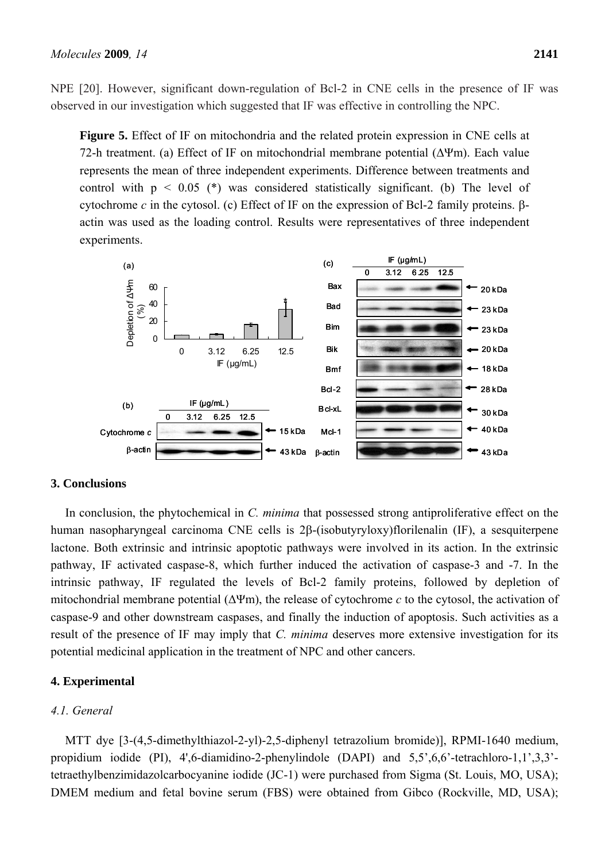NPE [20]. However, significant down-regulation of Bcl-2 in CNE cells in the presence of IF was observed in our investigation which suggested that IF was effective in controlling the NPC.

**Figure 5.** Effect of IF on mitochondria and the related protein expression in CNE cells at 72-h treatment. (a) Effect of IF on mitochondrial membrane potential  $(\Delta \Psi m)$ . Each value represents the mean of three independent experiments. Difference between treatments and control with  $p \leq 0.05$  (\*) was considered statistically significant. (b) The level of cytochrome *c* in the cytosol. (c) Effect of IF on the expression of Bcl-2 family proteins. βactin was used as the loading control. Results were representatives of three independent experiments.



# **3. Conclusions**

In conclusion, the phytochemical in *C. minima* that possessed strong antiproliferative effect on the human nasopharyngeal carcinoma CNE cells is 2β-(isobutyryloxy)florilenalin (IF), a sesquiterpene lactone. Both extrinsic and intrinsic apoptotic pathways were involved in its action. In the extrinsic pathway, IF activated caspase-8, which further induced the activation of caspase-3 and -7. In the intrinsic pathway, IF regulated the levels of Bcl-2 family proteins, followed by depletion of mitochondrial membrane potential (ΔΨm), the release of cytochrome *c* to the cytosol, the activation of caspase-9 and other downstream caspases, and finally the induction of apoptosis. Such activities as a result of the presence of IF may imply that *C. minima* deserves more extensive investigation for its potential medicinal application in the treatment of NPC and other cancers.

# **4. Experimental**

# *4.1. General*

MTT dye [3-(4,5-dimethylthiazol-2-yl)-2,5-diphenyl tetrazolium bromide)], RPMI-1640 medium, propidium iodide (PI), 4',6-diamidino-2-phenylindole (DAPI) and 5,5',6,6'-tetrachloro-1,1',3,3' tetraethylbenzimidazolcarbocyanine iodide (JC-1) were purchased from Sigma (St. Louis, MO, USA); DMEM medium and fetal bovine serum (FBS) were obtained from Gibco (Rockville, MD, USA);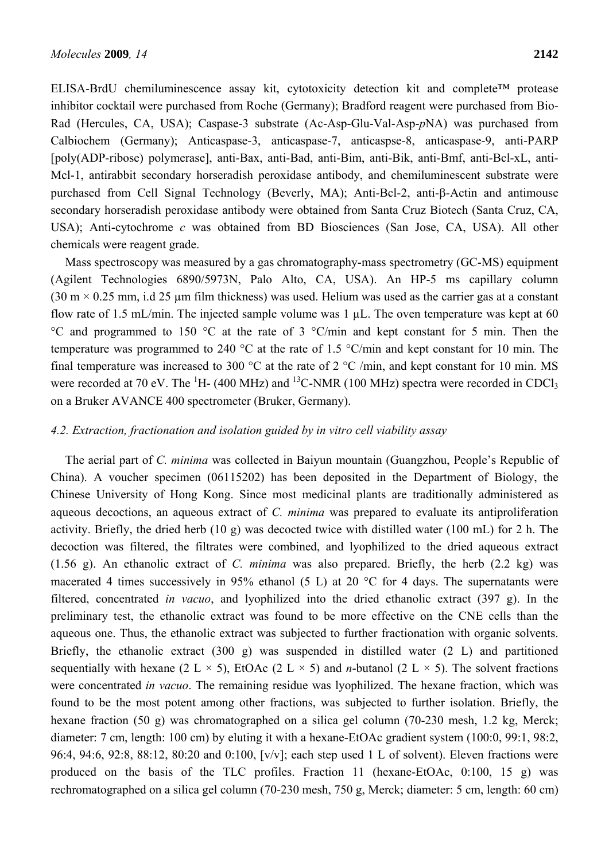ELISA-BrdU chemiluminescence assay kit, cytotoxicity detection kit and complete™ protease inhibitor cocktail were purchased from Roche (Germany); Bradford reagent were purchased from Bio-Rad (Hercules, CA, USA); Caspase-3 substrate (Ac-Asp-Glu-Val-Asp-*p*NA) was purchased from Calbiochem (Germany); Anticaspase-3, anticaspase-7, anticaspse-8, anticaspase-9, anti-PARP [poly(ADP-ribose) polymerase], anti-Bax, anti-Bad, anti-Bim, anti-Bik, anti-Bmf, anti-Bcl-xL, anti-Mcl-1, antirabbit secondary horseradish peroxidase antibody, and chemiluminescent substrate were purchased from Cell Signal Technology (Beverly, MA); Anti-Bcl-2, anti-β-Actin and antimouse secondary horseradish peroxidase antibody were obtained from Santa Cruz Biotech (Santa Cruz, CA, USA); Anti-cytochrome *c* was obtained from BD Biosciences (San Jose, CA, USA). All other chemicals were reagent grade.

Mass spectroscopy was measured by a gas chromatography-mass spectrometry (GC-MS) equipment (Agilent Technologies 6890/5973N, Palo Alto, CA, USA). An HP-5 ms capillary column  $(30 \text{ m} \times 0.25 \text{ mm})$ , i.d 25 µm film thickness) was used. Helium was used as the carrier gas at a constant flow rate of 1.5 mL/min. The injected sample volume was  $1 \mu$ L. The oven temperature was kept at 60 °C and programmed to 150 °C at the rate of 3 °C/min and kept constant for 5 min. Then the temperature was programmed to 240 °C at the rate of 1.5 °C/min and kept constant for 10 min. The final temperature was increased to 300 °C at the rate of 2 °C /min, and kept constant for 10 min. MS were recorded at 70 eV. The  ${}^{1}$ H- (400 MHz) and  ${}^{13}$ C-NMR (100 MHz) spectra were recorded in CDCl<sub>3</sub> on a Bruker AVANCE 400 spectrometer (Bruker, Germany).

# *4.2. Extraction, fractionation and isolation guided by in vitro cell viability assay*

The aerial part of *C. minima* was collected in Baiyun mountain (Guangzhou, People's Republic of China). A voucher specimen (06115202) has been deposited in the Department of Biology, the Chinese University of Hong Kong. Since most medicinal plants are traditionally administered as aqueous decoctions, an aqueous extract of *C. minima* was prepared to evaluate its antiproliferation activity. Briefly, the dried herb (10 g) was decocted twice with distilled water (100 mL) for 2 h. The decoction was filtered, the filtrates were combined, and lyophilized to the dried aqueous extract (1.56 g). An ethanolic extract of *C. minima* was also prepared. Briefly, the herb (2.2 kg) was macerated 4 times successively in 95% ethanol (5 L) at 20  $^{\circ}$ C for 4 days. The supernatants were filtered, concentrated *in vacuo*, and lyophilized into the dried ethanolic extract (397 g). In the preliminary test, the ethanolic extract was found to be more effective on the CNE cells than the aqueous one. Thus, the ethanolic extract was subjected to further fractionation with organic solvents. Briefly, the ethanolic extract (300 g) was suspended in distilled water (2 L) and partitioned sequentially with hexane (2 L  $\times$  5), EtOAc (2 L  $\times$  5) and *n*-butanol (2 L  $\times$  5). The solvent fractions were concentrated *in vacuo*. The remaining residue was lyophilized. The hexane fraction, which was found to be the most potent among other fractions, was subjected to further isolation. Briefly, the hexane fraction (50 g) was chromatographed on a silica gel column (70-230 mesh, 1.2 kg, Merck; diameter: 7 cm, length: 100 cm) by eluting it with a hexane-EtOAc gradient system (100:0, 99:1, 98:2, 96:4, 94:6, 92:8, 88:12, 80:20 and 0:100, [v/v]; each step used 1 L of solvent). Eleven fractions were produced on the basis of the TLC profiles. Fraction 11 (hexane-EtOAc, 0:100, 15 g) was rechromatographed on a silica gel column (70-230 mesh, 750 g, Merck; diameter: 5 cm, length: 60 cm)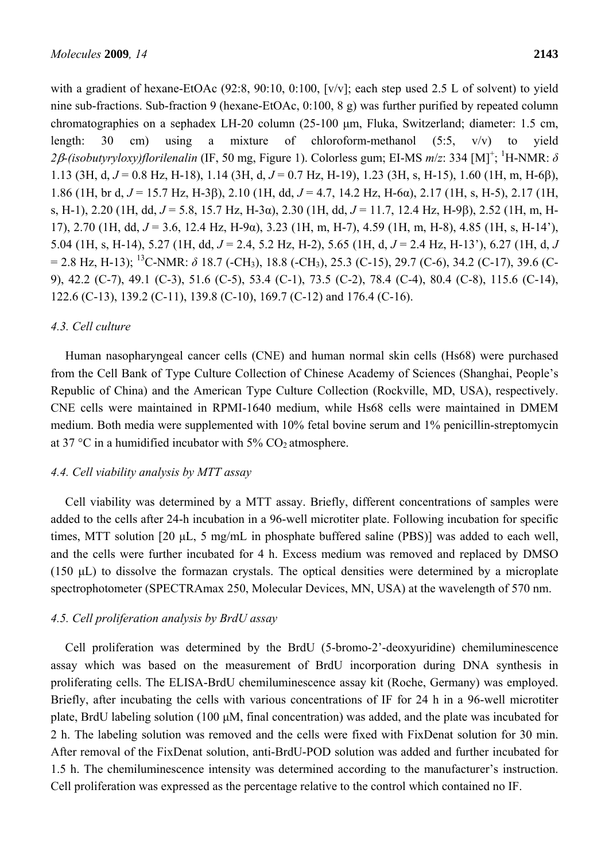with a gradient of hexane-EtOAc (92:8, 90:10, 0:100, [v/v]; each step used 2.5 L of solvent) to yield nine sub-fractions. Sub-fraction 9 (hexane-EtOAc, 0:100, 8 g) was further purified by repeated column chromatographies on a sephadex LH-20 column (25-100 μm, Fluka, Switzerland; diameter: 1.5 cm, length: 30 cm) using a mixture of chloroform-methanol (5:5, v/v) to yield 2β-(isobutyryloxy)florilenalin (IF, 50 mg, Figure 1). Colorless gum; EI-MS m/z: 334 [M]<sup>+</sup>; <sup>1</sup>H-NMR: δ 1.13 (3H, d, *J* = 0.8 Hz, H-18), 1.14 (3H, d, *J* = 0.7 Hz, H-19), 1.23 (3H, s, H-15), 1.60 (1H, m, H-6β), 1.86 (1H, br d, *J* = 15.7 Hz, H-3β), 2.10 (1H, dd, *J* = 4.7, 14.2 Hz, H-6α), 2.17 (1H, s, H-5), 2.17 (1H, s, H-1), 2.20 (1H, dd, *J* = 5.8, 15.7 Hz, H-3α), 2.30 (1H, dd, *J* = 11.7, 12.4 Hz, H-9β), 2.52 (1H, m, H-17), 2.70 (1H, dd, *J* = 3.6, 12.4 Hz, H-9α), 3.23 (1H, m, H-7), 4.59 (1H, m, H-8), 4.85 (1H, s, H-14'), 5.04 (1H, s, H-14), 5.27 (1H, dd, *J* = 2.4, 5.2 Hz, H-2), 5.65 (1H, d, *J* = 2.4 Hz, H-13'), 6.27 (1H, d, *J*  $= 2.8$  Hz, H-13); <sup>13</sup>C-NMR:  $\delta$  18.7 (-CH<sub>3</sub>), 18.8 (-CH<sub>3</sub>), 25.3 (C-15), 29.7 (C-6), 34.2 (C-17), 39.6 (C-9), 42.2 (C-7), 49.1 (C-3), 51.6 (C-5), 53.4 (C-1), 73.5 (C-2), 78.4 (C-4), 80.4 (C-8), 115.6 (C-14), 122.6 (C-13), 139.2 (C-11), 139.8 (C-10), 169.7 (C-12) and 176.4 (C-16).

#### *4.3. Cell culture*

Human nasopharyngeal cancer cells (CNE) and human normal skin cells (Hs68) were purchased from the Cell Bank of Type Culture Collection of Chinese Academy of Sciences (Shanghai, People's Republic of China) and the American Type Culture Collection (Rockville, MD, USA), respectively. CNE cells were maintained in RPMI-1640 medium, while Hs68 cells were maintained in DMEM medium. Both media were supplemented with 10% fetal bovine serum and 1% penicillin-streptomycin at 37 °C in a humidified incubator with  $5\%$  CO<sub>2</sub> atmosphere.

#### *4.4. Cell viability analysis by MTT assay*

Cell viability was determined by a MTT assay. Briefly, different concentrations of samples were added to the cells after 24-h incubation in a 96-well microtiter plate. Following incubation for specific times, MTT solution [20 μL, 5 mg/mL in phosphate buffered saline (PBS)] was added to each well, and the cells were further incubated for 4 h. Excess medium was removed and replaced by DMSO (150 μL) to dissolve the formazan crystals. The optical densities were determined by a microplate spectrophotometer (SPECTRAmax 250, Molecular Devices, MN, USA) at the wavelength of 570 nm.

# *4.5. Cell proliferation analysis by BrdU assay*

Cell proliferation was determined by the BrdU (5-bromo-2'-deoxyuridine) chemiluminescence assay which was based on the measurement of BrdU incorporation during DNA synthesis in proliferating cells. The ELISA-BrdU chemiluminescence assay kit (Roche, Germany) was employed. Briefly, after incubating the cells with various concentrations of IF for 24 h in a 96-well microtiter plate, BrdU labeling solution (100 μM, final concentration) was added, and the plate was incubated for 2 h. The labeling solution was removed and the cells were fixed with FixDenat solution for 30 min. After removal of the FixDenat solution, anti-BrdU-POD solution was added and further incubated for 1.5 h. The chemiluminescence intensity was determined according to the manufacturer's instruction. Cell proliferation was expressed as the percentage relative to the control which contained no IF.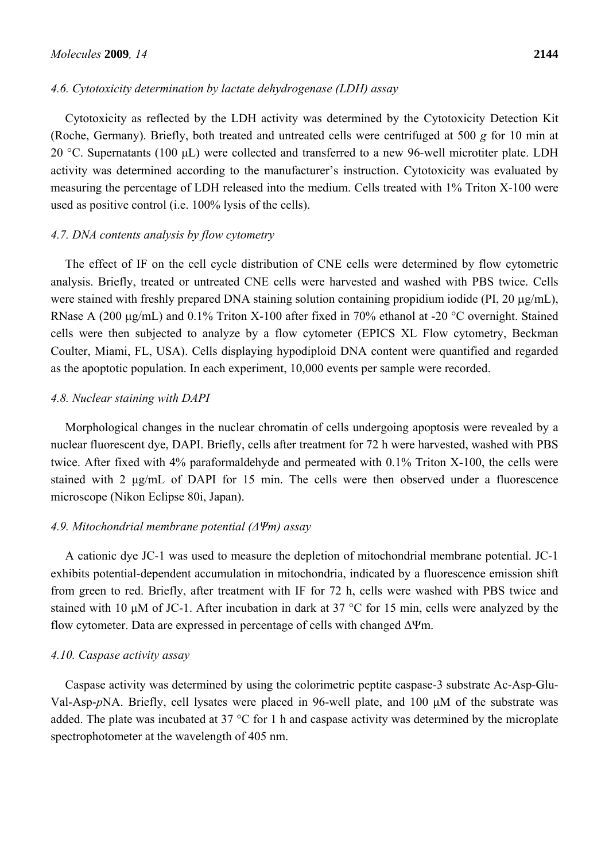#### *4.6. Cytotoxicity determination by lactate dehydrogenase (LDH) assay*

Cytotoxicity as reflected by the LDH activity was determined by the Cytotoxicity Detection Kit (Roche, Germany). Briefly, both treated and untreated cells were centrifuged at 500 *g* for 10 min at 20 °C. Supernatants (100 μL) were collected and transferred to a new 96-well microtiter plate. LDH activity was determined according to the manufacturer's instruction. Cytotoxicity was evaluated by measuring the percentage of LDH released into the medium. Cells treated with 1% Triton X-100 were used as positive control (i.e. 100% lysis of the cells).

#### *4.7. DNA contents analysis by flow cytometry*

The effect of IF on the cell cycle distribution of CNE cells were determined by flow cytometric analysis. Briefly, treated or untreated CNE cells were harvested and washed with PBS twice. Cells were stained with freshly prepared DNA staining solution containing propidium iodide (PI, 20 μg/mL), RNase A (200 μg/mL) and 0.1% Triton X-100 after fixed in 70% ethanol at -20 °C overnight. Stained cells were then subjected to analyze by a flow cytometer (EPICS XL Flow cytometry, Beckman Coulter, Miami, FL, USA). Cells displaying hypodiploid DNA content were quantified and regarded as the apoptotic population. In each experiment, 10,000 events per sample were recorded.

#### *4.8. Nuclear staining with DAPI*

Morphological changes in the nuclear chromatin of cells undergoing apoptosis were revealed by a nuclear fluorescent dye, DAPI. Briefly, cells after treatment for 72 h were harvested, washed with PBS twice. After fixed with 4% paraformaldehyde and permeated with 0.1% Triton X-100, the cells were stained with 2 μg/mL of DAPI for 15 min. The cells were then observed under a fluorescence microscope (Nikon Eclipse 80i, Japan).

#### *4.9. Mitochondrial membrane potential (ΔΨm) assay*

A cationic dye JC-1 was used to measure the depletion of mitochondrial membrane potential. JC-1 exhibits potential-dependent accumulation in mitochondria, indicated by a fluorescence emission shift from green to red. Briefly, after treatment with IF for 72 h, cells were washed with PBS twice and stained with 10 μM of JC-1. After incubation in dark at 37 °C for 15 min, cells were analyzed by the flow cytometer. Data are expressed in percentage of cells with changed ΔΨm.

## *4.10. Caspase activity assay*

Caspase activity was determined by using the colorimetric peptite caspase-3 substrate Ac-Asp-Glu-Val-Asp-*p*NA. Briefly, cell lysates were placed in 96-well plate, and 100 μM of the substrate was added. The plate was incubated at 37 °C for 1 h and caspase activity was determined by the microplate spectrophotometer at the wavelength of 405 nm.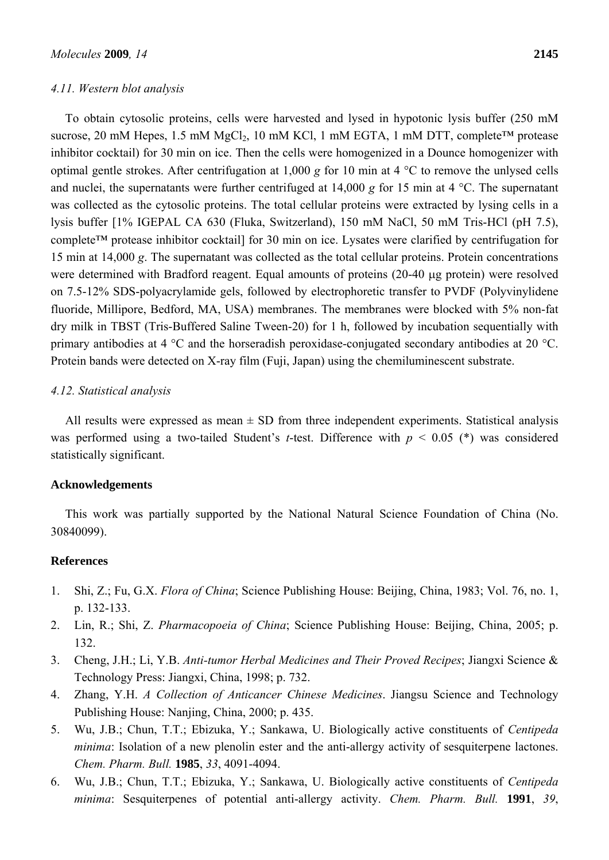#### *4.11. Western blot analysis*

To obtain cytosolic proteins, cells were harvested and lysed in hypotonic lysis buffer (250 mM sucrose, 20 mM Hepes, 1.5 mM MgCl<sub>2</sub>, 10 mM KCl, 1 mM EGTA, 1 mM DTT, complete<sup>TM</sup> protease inhibitor cocktail) for 30 min on ice. Then the cells were homogenized in a Dounce homogenizer with optimal gentle strokes. After centrifugation at 1,000 *g* for 10 min at 4 °C to remove the unlysed cells and nuclei, the supernatants were further centrifuged at 14,000 *g* for 15 min at 4 °C. The supernatant was collected as the cytosolic proteins. The total cellular proteins were extracted by lysing cells in a lysis buffer [1% IGEPAL CA 630 (Fluka, Switzerland), 150 mM NaCl, 50 mM Tris-HCl (pH 7.5), complete™ protease inhibitor cocktail] for 30 min on ice. Lysates were clarified by centrifugation for 15 min at 14,000 *g*. The supernatant was collected as the total cellular proteins. Protein concentrations were determined with Bradford reagent. Equal amounts of proteins (20-40 μg protein) were resolved on 7.5-12% SDS-polyacrylamide gels, followed by electrophoretic transfer to PVDF (Polyvinylidene fluoride, Millipore, Bedford, MA, USA) membranes. The membranes were blocked with 5% non-fat dry milk in TBST (Tris-Buffered Saline Tween-20) for 1 h, followed by incubation sequentially with primary antibodies at 4 °C and the horseradish peroxidase-conjugated secondary antibodies at 20 °C. Protein bands were detected on X-ray film (Fuji, Japan) using the chemiluminescent substrate.

# *4.12. Statistical analysis*

All results were expressed as mean  $\pm$  SD from three independent experiments. Statistical analysis was performed using a two-tailed Student's *t*-test. Difference with *p* < 0.05 (\*) was considered statistically significant.

#### **Acknowledgements**

This work was partially supported by the National Natural Science Foundation of China (No. 30840099).

#### **References**

- 1. Shi, Z.; Fu, G.X. *Flora of China*; Science Publishing House: Beijing, China, 1983; Vol. 76, no. 1, p. 132-133.
- 2. Lin, R.; Shi, Z. *Pharmacopoeia of China*; Science Publishing House: Beijing, China, 2005; p. 132.
- 3. Cheng, J.H.; Li, Y.B. *Anti-tumor Herbal Medicines and Their Proved Recipes*; Jiangxi Science & Technology Press: Jiangxi, China, 1998; p. 732.
- 4. Zhang, Y.H. *A Collection of Anticancer Chinese Medicines*. Jiangsu Science and Technology Publishing House: Nanjing, China, 2000; p. 435.
- 5. Wu, J.B.; Chun, T.T.; Ebizuka, Y.; Sankawa, U. Biologically active constituents of *Centipeda minima*: Isolation of a new plenolin ester and the anti-allergy activity of sesquiterpene lactones. *Chem. Pharm. Bull.* **1985**, *33*, 4091-4094.
- 6. Wu, J.B.; Chun, T.T.; Ebizuka, Y.; Sankawa, U. Biologically active constituents of *Centipeda minima*: Sesquiterpenes of potential anti-allergy activity. *Chem. Pharm. Bull.* **1991**, *39*,